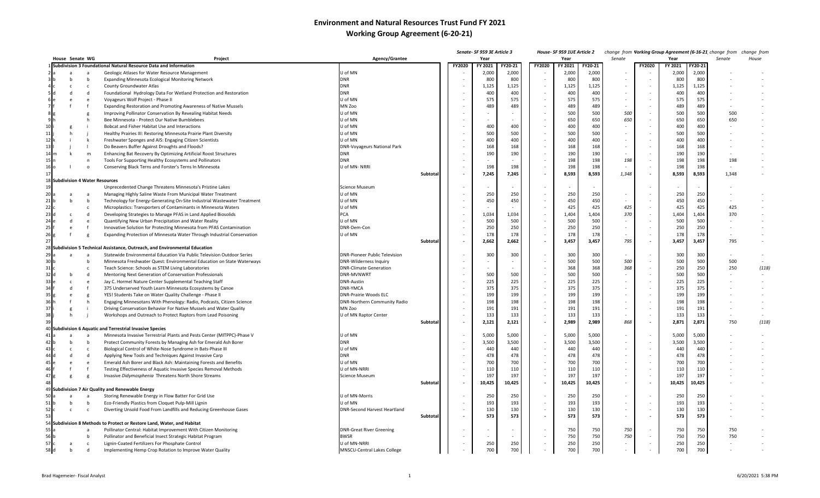## **Environment and Natural Resources Trust Fund FY 2021 Working Group Agreement (6-20-21)**

|                 |                |                 |                                                                              |                                      |          |        | Senate- SF 959 3E Article 3 |         |        | House- SF 959 1UE Article 2 |         |        |                          |         |         | change from Vorking Group Agreement (6-16-21 change from | change from |
|-----------------|----------------|-----------------|------------------------------------------------------------------------------|--------------------------------------|----------|--------|-----------------------------|---------|--------|-----------------------------|---------|--------|--------------------------|---------|---------|----------------------------------------------------------|-------------|
|                 |                | House Senate WG | Project                                                                      | <b>Agency/Grantee</b>                |          |        | Year                        |         |        | Year                        |         | Senate |                          | Year    |         | Senate                                                   | House       |
|                 |                |                 | Subdivision 3 Foundational Natural Resource Data and Information             |                                      |          | FY2020 | FY 2021                     | FY20-21 | FY2020 | FY 2021                     | FY20-21 |        | FY2020                   | FY 2021 | FY20-21 |                                                          |             |
|                 | <b>a</b>       |                 | Geologic Atlases for Water Resource Management                               | J of MN                              |          |        | 2,000                       | 2,000   |        | 2,000                       | 2,000   |        |                          | 2,000   | 2,000   |                                                          |             |
|                 | h              | b               | Expanding Minnesota Ecological Monitoring Network                            | DNR                                  |          |        | 800                         | 800     |        | 800                         | 800     |        |                          | 800     | 800     |                                                          |             |
|                 | c              | $\mathbf{c}$    | County Groundwater Atlas                                                     | <b>DNR</b>                           |          |        | 1,125                       | 1,125   |        | 1,125                       | 1,125   |        |                          | 1,125   | 1,125   |                                                          |             |
|                 | d              | d               | Foundational Hydrology Data For Wetland Protection and Restoration           | DNR                                  |          |        | 400                         | 400     |        | 400                         | 400     |        | $\overline{\phantom{a}}$ | 400     | 400     |                                                          |             |
|                 | e              | $\epsilon$      | Voyageurs Wolf Project - Phase II                                            | J of MN                              |          |        | 575                         | 575     |        | 575                         | 575     |        | ÷,                       | 575     | 575     |                                                          |             |
|                 |                |                 | Expanding Restoration and Promoting Awareness of Native Mussels              | MN Zoo                               |          |        | 489                         | 489     |        | 489                         | 489     |        |                          | 489     | 489     |                                                          |             |
|                 |                | g               | Improving Pollinator Conservation By Revealing Habitat Needs                 | J of MN                              |          |        |                             |         |        | 500                         | 500     | 500    | $\sim$                   | 500     | 500     | 500                                                      |             |
|                 |                |                 | Bee Minnesota - Protect Our Native Bumblebees                                | J of MN                              |          |        |                             |         |        | 650                         | 650     | 650    | $\sim$                   | 650     | 650     | 650                                                      |             |
| 10 <sup>1</sup> |                |                 | Bobcat and Fisher Habitat Use and Interactions                               | J of MN                              |          |        | 400                         | 400     |        | 400                         | 400     | $\sim$ |                          | 400     | 400     |                                                          |             |
| 11              | h              |                 | Healthy Prairies III: Restoring Minnesota Prairie Plant Diversity            | J of MN                              |          |        | 500                         | 500     |        | 500                         | 500     |        |                          | 500     | 500     |                                                          |             |
| 12              |                | k               | Freshwater Sponges and AIS: Engaging Citizen Scientists                      | U of MN                              |          |        | 400                         | 400     |        | 400                         | 400     |        |                          | 400     | 400     |                                                          |             |
| 13              |                |                 | Do Beavers Buffer Against Droughts and Floods?                               | DNR-Voyageurs National Park          |          |        | 168                         | 168     |        | 168                         | 168     |        | $\overline{\phantom{a}}$ | 168     | 168     |                                                          |             |
|                 | k              | m               | Enhancing Bat Recovery By Optimizing Artificial Roost Structures             | <b>DNR</b>                           |          |        | 190                         | 190     |        | 190                         | 190     |        |                          | 190     | 190     |                                                          |             |
|                 |                | n               | Tools For Supporting Healthy Ecosystems and Pollinators                      | DNR                                  |          |        |                             |         |        | 198                         | 198     | 198    |                          | 198     | 198     | 198                                                      |             |
|                 |                | $\circ$         | Conserving Black Terns and Forster's Terns In Minnesota                      | J of MN-NRRI                         |          |        | 198                         | 198     |        | 198                         | 198     |        |                          | 198     | 198     |                                                          |             |
|                 |                |                 |                                                                              |                                      | Subtotal |        | 7,245                       | 7,245   |        | 8,593                       | 8,593   | 1,348  | $\blacksquare$           | 8,593   | 8,593   | 1,348                                                    |             |
|                 |                |                 | 18 Subdivision 4 Water Resources                                             |                                      |          |        |                             |         |        |                             |         |        |                          |         |         |                                                          |             |
|                 |                |                 | Unprecedented Change Threatens Minnesota's Pristine Lakes                    | Science Museum                       |          |        |                             |         |        |                             |         |        |                          |         |         |                                                          |             |
|                 |                | a               | Managing Highly Saline Waste From Municipal Water Treatment                  | J of MN                              |          |        | 250                         | 250     |        | 250                         | 250     |        |                          | 250     | 250     |                                                          |             |
|                 |                | b               | Technology for Energy-Generating On-Site Industrial Wastewater Treatment     | J of MN                              |          |        | 450                         | 450     |        | 450                         | 450     |        |                          | 450     | 450     |                                                          |             |
|                 |                | c               | Microplastics: Transporters of Contaminants in Minnesota Waters              | J of MN                              |          |        |                             |         |        | 425                         | 425     | 425    | $\overline{\phantom{a}}$ | 425     | 425     | 425                                                      |             |
|                 |                | d               | Developing Strategies to Manage PFAS in Land Applied Biosolids               | PCA                                  |          |        | 1,034                       | 1,034   |        | 1,404                       | 1,404   | 370    |                          | 1,404   | 1,404   | 370                                                      |             |
|                 | d              | e               | Quantifying New Urban Precipitation and Water Reality                        | U of MN                              |          |        | 500                         | 500     |        | 500                         | 500     |        |                          | 500     | 500     |                                                          |             |
| 25              |                |                 | Innovative Solution for Protecting Minnesota from PFAS Contamination         | DNR-Dem-Con                          |          |        | 250                         | 250     |        | 250                         | 250     | $\sim$ | $\overline{\phantom{a}}$ | 250     | 250     |                                                          |             |
| 26g             |                | g               | Expanding Protection of Minnesota Water Through Industrial Conservation      | J of MN                              |          |        | 178                         | 178     |        | 178                         | 178     |        | $\sim$                   | 178     | 178     |                                                          |             |
|                 |                |                 |                                                                              |                                      | Subtota  |        | 2,662                       | 2,662   |        | 3,457                       | 3,457   | 795    | $\overline{\phantom{a}}$ | 3,457   | 3,457   | 795                                                      |             |
|                 |                |                 | 28 Subdivision 5 Technical Assistance, Outreach, and Environmental Education |                                      |          |        |                             |         |        |                             |         |        |                          |         |         |                                                          |             |
| 29              | $\overline{a}$ | a               | Statewide Environmental Education Via Public Television Outdoor Series       | <b>DNR-Pioneer Public Television</b> |          |        | 300                         | 300     |        | 300                         | 300     |        | $\overline{\phantom{a}}$ | 300     | 300     |                                                          |             |
| 30k             |                | b               | Minnesota Freshwater Quest: Environmental Education on State Waterways       | DNR-Wilderness Inquiry               |          |        |                             |         |        | 500                         | 500     | 500    | ÷,                       | 500     | 500     | 500                                                      |             |
|                 |                |                 |                                                                              |                                      |          |        |                             |         |        | 368                         | 368     | 368    |                          | 250     | 250     |                                                          |             |
|                 |                | C               | Teach Science: Schools as STEM Living Laboratories                           | <b>DNR-Climate Generation</b>        |          |        |                             |         |        | 500                         | 500     | $\sim$ |                          | 500     | 500     | 250                                                      | (118)       |
|                 |                | d               | Mentoring Next Generation of Conservation Professionals                      | DNR-MVNWRT                           |          |        | 500                         | 500     |        |                             |         |        |                          |         |         |                                                          |             |
| 33 <sub>0</sub> | c              | e               | Jay C. Hormel Nature Center Supplemental Teaching Staff                      | <b>DNR-Austin</b>                    |          |        | 225                         | 225     |        | 225                         | 225     |        | $\sim$                   | 225     | 225     |                                                          |             |
|                 | d              |                 | 375 Underserved Youth Learn Minnesota Ecosystems by Canoe                    | <b>DNR-YMCA</b>                      |          |        | 375                         | 375     |        | 375                         | 375     |        | $\sim$                   | 375     | 375     |                                                          |             |
|                 |                | g               | YES! Students Take on Water Quality Challenge - Phase II                     | DNR-Prairie Woods ELC                |          |        | 199                         | 199     |        | 199                         | 199     |        |                          | 199     | 199     |                                                          |             |
| 36 h            |                | h               | Engaging Minnesotans With Phenology: Radio, Podcasts, Citizen Science        | DNR-Northern Community Radio         |          |        | 198                         | 198     |        | 198                         | 198     |        |                          | 198     | 198     |                                                          |             |
|                 |                |                 | Driving Conservation Behavior For Native Mussels and Water Quality           | MN Zoo                               |          |        | 191                         | 191     |        | 191                         | 191     |        | $\overline{\phantom{a}}$ | 191     | 191     |                                                          |             |
| 38              | - h            |                 | Workshops and Outreach to Protect Raptors from Lead Poisoning                | J of MN Raptor Center                |          |        | 133                         | 133     |        | 133                         | 133     |        | $\sim$                   | 133     | 133     |                                                          |             |
|                 |                |                 |                                                                              |                                      | Subtota  |        | 2,121                       | 2,121   |        | 2,989                       | 2,989   | 868    | $\overline{\phantom{a}}$ | 2,871   | 2,871   | 750                                                      | (118)       |
|                 |                |                 | 40 Subdivision 6 Aquatic and Terrestrial Invasive Species                    |                                      |          |        |                             |         |        |                             |         |        |                          |         |         |                                                          |             |
|                 |                | a               | Minnesota Invasive Terrestrial Plants and Pests Center (MITPPC)-Phase V      | J of MN                              |          |        | 5,000                       | 5,000   |        | 5,000                       | 5,000   | $\sim$ | $\overline{\phantom{a}}$ | 5,000   | 5,000   |                                                          |             |
|                 |                | b               | Protect Community Forests by Managing Ash for Emerald Ash Borer              | <b>DNR</b>                           |          |        | 3,500                       | 3,500   |        | 3,500                       | 3,500   |        | ÷,                       | 3,500   | 3,500   |                                                          |             |
|                 |                | $\mathsf{c}$    | Biological Control of White-Nose Syndrome in Bats-Phase III                  | J of MN                              |          |        | 440                         | 440     |        | 440                         | 440     |        |                          | 440     | 440     |                                                          |             |
|                 |                | d               | Applying New Tools and Techniques Against Invasive Carp                      | <b>DNR</b>                           |          |        | 478                         | 478     |        | 478                         | 478     |        |                          | 478     | 478     |                                                          |             |
|                 | e              | e               | Emerald Ash Borer and Black Ash: Maintaining Forests and Benefits            | J of MN                              |          |        | 700                         | 700     |        | 700                         | 700     |        |                          | 700     | 700     |                                                          |             |
| 46              |                |                 | Testing Effectiveness of Aquatic Invasive Species Removal Methods            | J of MN-NRR                          |          |        | 110                         | 110     |        | 110                         | 110     |        |                          | 110     | 110     |                                                          |             |
|                 |                | g               | Invasive Didymosphenia Threatens North Shore Streams                         | Science Museum                       |          |        | 197                         | 197     |        | 197                         | 197     |        |                          | 197     | 197     |                                                          |             |
|                 |                |                 |                                                                              |                                      | Subtota  |        | 10,425                      | 10,425  |        | 10,425                      | 10,425  |        | $\blacksquare$           | 10,425  | 10,425  |                                                          |             |
|                 |                |                 | 49 Subdivision 7 Air Quality and Renewable Energy                            |                                      |          |        |                             |         |        |                             |         |        |                          |         |         |                                                          |             |
|                 |                |                 | Storing Renewable Energy in Flow Batter For Grid Use                         | J of MN-Morris                       |          |        | 250                         | 250     |        | 250                         | 250     |        |                          | 250     | 250     |                                                          |             |
|                 | - h            | b               | Eco-Friendly Plastics from Cloquet Pulp-Mill Lignin                          | J of MN                              |          |        | 193                         | 193     |        | 193                         | 193     | $\sim$ | $\overline{\phantom{a}}$ | 193     | 193     |                                                          |             |
|                 | c              | $\mathsf{C}$    | Diverting Unsold Food From Landfills and Reducing Greenhouse Gases           | DNR-Second Harvest Heartland         |          |        | 130                         | 130     |        | 130                         | 130     |        | $\sim$                   | 130     | 130     |                                                          |             |
|                 |                |                 |                                                                              |                                      | Subtota  |        | 573                         | 573     |        | 573                         | 573     | $\sim$ | $\blacksquare$           | 573     | 573     |                                                          |             |
|                 |                |                 | 54 Subdivision 8 Methods to Protect or Restore Land, Water, and Habitat      |                                      |          |        |                             |         |        |                             |         |        |                          |         |         |                                                          |             |
|                 |                |                 | Pollinator Central: Habitat Improvement With Citizen Monitoring              | <b>DNR-Great River Greening</b>      |          |        |                             |         |        | 750                         | 750     | 750    |                          | 750     | 750     | 750                                                      |             |
| 56 b            |                |                 | Pollinator and Beneficial Insect Strategic Habitat Program                   | 3WSR                                 |          |        |                             |         |        | 750                         | 750     | 750    |                          | 750     | 750     | 750                                                      |             |
|                 |                | c               | Lignin-Coated Fertilizers For Phosphate Control                              | J of MN-NRRI                         |          |        | 250                         | 250     |        | 250                         | 250     |        |                          | 250     | 250     |                                                          |             |
| 58 d            |                | d               | Implementing Hemp Crop Rotation to Improve Water Quality                     | MNSCU-Central Lakes College          |          |        | 700                         | 700     |        | 700                         | 700     |        |                          | 700     | 700     |                                                          |             |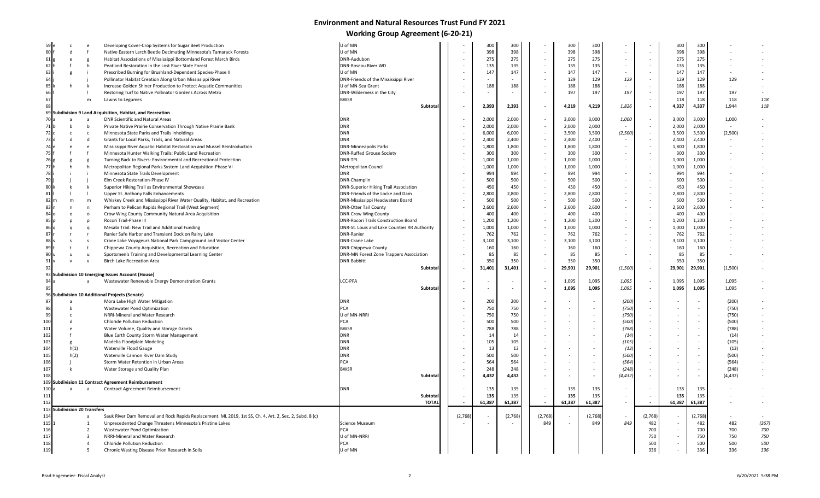## **Environment and Natural Resources Trust Fund FY 2021 Working Group Agreement (6-20-21)**

| 59                           |                          |                         | Developing Cover-Crop Systems for Sugar Beet Production                                                 | U of MN                                      |         | 300          | 300          |         | 300    | 300          |                          |                          | 300            | 300                      |            |            |
|------------------------------|--------------------------|-------------------------|---------------------------------------------------------------------------------------------------------|----------------------------------------------|---------|--------------|--------------|---------|--------|--------------|--------------------------|--------------------------|----------------|--------------------------|------------|------------|
| 60                           | $\mathsf{d}$             |                         | Native Eastern Larch Beetle Decimating Minnesota's Tamarack Forests                                     | U of MN                                      |         | 398          | 398          |         | 398    | 398          | $\overline{a}$           |                          | 398            | 398                      |            |            |
| 61                           | e                        |                         | Habitat Associations of Mississippi Bottomland Forest March Birds                                       | DNR-Audubon                                  |         | 275          | 275          |         | 275    | 275          | $\overline{\phantom{a}}$ |                          | 275            | 275                      |            |            |
| 62                           |                          | h                       | Peatland Restoration in the Lost River State Forest                                                     | <b>DNR-Roseau River WD</b>                   |         | 135          | 135          |         | 135    | 135          |                          | $\sim$                   | 135            | 135                      |            |            |
| 63                           |                          |                         | Prescribed Burning for Brushland-Dependent Species-Phase II                                             | U of MN                                      |         | 147          | 147          |         | 147    | 147          |                          |                          | 147            | 147                      |            |            |
| 64                           |                          |                         | Pollinator Habitat Creation Along Urban Mississippi River                                               | DNR-Friends of the Mississippi River         |         |              |              |         | 129    | 129          | 129                      | $\sim$                   | 129            | 129                      | 129        |            |
| 65                           |                          |                         | Increase Golden Shiner Production to Protect Aquatic Communities                                        | U of MN-Sea Grant                            |         | 188          | 188          |         | 188    | 188          |                          | $\sim$                   | 188            | 188                      |            |            |
| 66                           |                          |                         | Restoring Turf to Native Pollinator Gardens Across Metro                                                | DNR-Wilderness in the City                   |         |              | $\sim$       |         | 197    | 197          | 197                      | $\sim$                   | 197            | 197                      | 197        | $\sim$     |
| 67                           |                          | m                       | Lawns to Legumes                                                                                        | <b>BWSR</b>                                  |         |              |              |         |        |              |                          |                          | 118            | 118                      | 118        | 118        |
| 68                           |                          |                         |                                                                                                         | Subtotal                                     | $\sim$  | 2,393        | 2,393        |         | 4,219  | 4,219        | 1,826                    | $\overline{\phantom{a}}$ | 4,337          | 4,337                    | 1,944      | 118        |
| 69                           |                          |                         | Subdivision 9 Land Acquisition, Habitat, and Recreation                                                 |                                              |         |              |              |         |        |              |                          |                          |                |                          |            |            |
| 70                           | <b>a</b>                 | <b>a</b>                | DNR Scientific and Natural Areas                                                                        | <b>DNR</b>                                   |         | 2,000        | 2,000        |         | 3,000  | 3,000        | 1,000                    | $\overline{\phantom{a}}$ | 3,000          | 3,000                    | 1,000      |            |
| 71                           | h                        | - b                     | Private Native Prairie Conservation Through Native Prairie Bank                                         | <b>DNR</b>                                   |         | 2,000        | 2,000        |         | 2,000  | 2,000        |                          | $\overline{\phantom{a}}$ | 2,000          | 2,000                    |            |            |
| 72                           | C.                       | c                       | Minnesota State Parks and Trails Inholdings                                                             | <b>DNR</b>                                   |         | 6,000        | 6,000        |         | 3,500  | 3,500        | (2,500)                  | $\overline{\phantom{a}}$ | 3,500          | 3,500                    | (2,500)    |            |
| 73                           | d                        | d                       | Grants for Local Parks, Trails, and Natural Areas                                                       | <b>DNR</b>                                   |         | 2,400        | 2,400        |         | 2,400  | 2,400        |                          | $\sim$                   | 2,400          | 2,400                    |            |            |
| 74                           |                          |                         | Mississippi River Aquatic Habitat Restoration and Mussel Reintroduction                                 | <b>DNR-Minneapolis Parks</b>                 |         | 1,800        | 1,800        |         | 1,800  | 1,800        | $\overline{\phantom{a}}$ | $\overline{\phantom{a}}$ | 1,800          | 1,800                    |            |            |
| 75                           |                          |                         | Minnesota Hunter Walking Trails: Public Land Recreation                                                 | <b>DNR-Ruffed Grouse Society</b>             |         | 300          | 300          |         | 300    | 300          | $\sim$                   | $\overline{\phantom{a}}$ | 300            | 300                      |            |            |
| 76                           |                          |                         | Turning Back to Rivers: Environmental and Recreational Protection                                       | DNR-TPL                                      |         | 1,000        | 1,000        |         | 1,000  | 1,000        |                          | $\overline{\phantom{a}}$ | 1,000          | 1,000                    |            |            |
| 77                           |                          | - h                     | Metropolitan Regional Parks System Land Acquisition-Phase VI                                            | Metropolitan Council                         |         | 1,000        | 1,000        |         | 1,000  | 1,000        |                          | $\sim$                   | 1,000          | 1,000                    |            |            |
| 78                           |                          |                         | Minnesota State Trails Development                                                                      | <b>DNR</b>                                   |         | 994          | 994          |         | 994    | 994          |                          | $\overline{\phantom{a}}$ | 994            | 994                      |            |            |
| 79                           |                          |                         | Elm Creek Restoration-Phase IV                                                                          | DNR-Champlin                                 |         | 500          | 500          |         | 500    | 500          | $\sim$                   | $\sim$                   | 500            | 500                      |            |            |
| 80                           |                          |                         | Superior Hiking Trail as Environmental Showcase                                                         | <b>DNR-Superior Hiking Trail Association</b> |         | 450          | 450          |         | 450    | 450          |                          | $\overline{\phantom{a}}$ | 450            | 450                      |            |            |
| 81                           |                          |                         | Upper St. Anthony Falls Enhancements                                                                    | DNR-Friends of the Locke and Dam             |         | 2,800        | 2,800        |         | 2,800  | 2,800        |                          | $\sim$                   | 2,800          | 2,800                    |            |            |
| 82                           | m                        | m                       | Whiskey Creek and Mississippi River Water Quality, Habitat, and Recreation                              | DNR-Mississippi Headwaters Board             |         | 500          | 500          |         | 500    | 500          |                          | $\overline{\phantom{a}}$ | 500            | 500                      |            |            |
| 83                           |                          | n                       | Perham to Pelican Rapids Regional Trail (West Segment)                                                  | <b>DNR-Otter Tail County</b>                 |         | 2,600        | 2,600        |         | 2,600  | 2,600        |                          | $\overline{\phantom{a}}$ | 2,600          | 2,600                    |            |            |
| 84                           | $\circ$                  | $\circ$                 | Crow Wing County Community Natural Area Acquisition                                                     | <b>DNR-Crow Wing County</b>                  |         | 400          | 400          |         | 400    | 400          | $\sim$                   | $\overline{\phantom{a}}$ | 400            | 400                      |            |            |
| 85                           |                          |                         | Rocori Trail-Phase III                                                                                  | <b>DNR-Rocori Trails Construction Board</b>  |         | 1,200        | 1,200        |         | 1,200  | 1,200        |                          | $\sim$                   | 1,200          | 1,200                    |            |            |
| 86                           | D                        |                         |                                                                                                         | DNR-St. Louis and Lake Counties RR Authority |         | 1,000        | 1,000        |         | 1,000  | 1,000        | $\sim$                   | $\sim$                   | 1,000          | 1,000                    |            |            |
| 87                           | q                        | q                       | Mesabi Trail: New Trail and Additional Funding                                                          | <b>DNR-Ranier</b>                            |         |              |              |         |        |              | $\overline{a}$           | $\sim$                   |                | 762                      |            |            |
| 88                           |                          |                         | Ranier Safe Harbor and Transient Dock on Rainy Lake                                                     |                                              |         | 762<br>3,100 | 762<br>3,100 |         | 762    | 762<br>3,100 |                          | $\sim$                   | 762<br>3,100   | 3,100                    |            |            |
|                              | $\overline{\phantom{a}}$ | s                       | Crane Lake Voyageurs National Park Campground and Visitor Center                                        | <b>DNR-Crane Lake</b>                        |         | 160          | 160          |         | 3,100  | 160          |                          | $\sim$                   | 160            | 160                      |            |            |
|                              |                          |                         | Chippewa County Acquisition, Recreation and Education                                                   | <b>DNR-Chippewa County</b>                   |         |              |              |         | 160    |              |                          |                          |                |                          |            |            |
| 89                           |                          |                         |                                                                                                         |                                              |         |              |              |         |        |              |                          |                          |                |                          |            |            |
| 90                           |                          | <b>u</b>                | Sportsmen's Training and Developmental Learning Center                                                  | DNR-MN Forest Zone Trappers Association      |         | 85           | 85           |         | 85     | 85           |                          | $\sim$                   | 85             | 85                       |            |            |
| 91                           |                          | $\mathsf{v}$            | <b>Birch Lake Recreation Area</b>                                                                       | <b>DNR-Babbitt</b>                           |         | 350          | 350          |         | 350    | 350          |                          | $\overline{\phantom{a}}$ | 350            | 350                      |            |            |
| 92                           |                          |                         |                                                                                                         | Subtotal                                     |         | 31,401       | 31,401       |         | 29,901 | 29,901       | (1,500)                  | $\tilde{\phantom{a}}$    | 29,901         | 29,901                   | (1,500)    |            |
| 93                           |                          |                         | <b>Subdivision 10 Emerging Issues Account (House)</b>                                                   |                                              |         |              |              |         |        |              |                          |                          |                |                          |            |            |
| 94                           |                          | $\overline{a}$          | Wastewater Renewable Energy Demonstration Grants                                                        | LCC-PFA                                      |         |              |              |         | 1,095  | 1,095        | 1,095                    | $\blacksquare$           | 1,095          | 1,095                    | 1,095      |            |
| 95                           |                          |                         |                                                                                                         | Subtotal                                     | $\sim$  |              | $\sim$       |         | 1,095  | 1,095        | 1,095                    | $\blacksquare$           | 1,095          | 1,095                    | 1,095      |            |
|                              |                          |                         | 96 Subdivision 10 Additional Projects (Senate)                                                          |                                              |         |              |              |         |        |              |                          |                          |                |                          |            |            |
| 97                           | $\overline{a}$           |                         | Mora Lake High Water Mitigation                                                                         | <b>DNR</b>                                   |         | 200          | 200          |         |        |              | (200)                    | $\overline{\phantom{a}}$ |                |                          | (200)      |            |
| 98                           |                          |                         | Wastewater Pond Optimization                                                                            | <b>PCA</b>                                   |         | 750          | 750          |         |        |              | (750)                    | $\sim$                   |                |                          | (750)      |            |
| 99                           |                          |                         | NRRI-Mineral and Water Research                                                                         | U of MN-NRRI                                 |         | 750          | 750          |         |        |              | (750)                    |                          |                |                          | (750)      |            |
| 100                          |                          |                         | Chloride Pollution Reduction                                                                            | PCA                                          |         | 500          | 500          |         |        |              | (500)                    | $\sim$                   | $\sim$         | $\sim$                   | (500)      |            |
| 101                          |                          |                         | Water Volume, Quality and Storage Grants                                                                | <b>BWSR</b>                                  |         | 788          | 788          |         |        |              | (788)                    | $\sim$                   |                |                          | (788)      |            |
| 102                          |                          |                         | Blue Earth County Storm Water Management                                                                | <b>DNR</b>                                   |         | 14           | 14           |         |        |              | (14)                     | $\sim$                   |                |                          | (14)       |            |
| 103                          | g                        |                         | Madelia Floodplain Modeling                                                                             | <b>DNR</b>                                   |         | 105          | 105          |         |        |              | (105)                    |                          | $\overline{a}$ |                          | (105)      |            |
| 104                          | h(1)                     |                         | Waterville Flood Gauge                                                                                  | <b>DNR</b>                                   |         | 13           | 13           |         |        |              | (13)                     | $\sim$                   | $\sim$         | ÷.                       | (13)       |            |
| 105                          | h(2)                     |                         | Waterville Cannon River Dam Study                                                                       | <b>DNR</b>                                   |         | 500          | 500          |         |        |              | (500)                    | $\sim$                   | ÷.             |                          | (500)      |            |
| 106                          |                          |                         | Storm Water Retention in Urban Areas                                                                    | <b>PCA</b>                                   |         | 564          | 564          |         |        |              | (564)                    | $\sim$                   |                | $\overline{\phantom{a}}$ | (564)      |            |
| 107                          |                          |                         | Water Storage and Quality Plan                                                                          | <b>BWSR</b>                                  |         | 248          | 248          |         |        |              | (248)                    | $\overline{\phantom{a}}$ |                |                          | (248)      |            |
| 108                          |                          |                         |                                                                                                         | Subtotal                                     |         | 4,432        | 4,432        |         |        |              | (4, 432)                 | $\overline{\phantom{a}}$ | ÷,             |                          | (4, 432)   |            |
| 109                          |                          |                         | <b>Subdivision 11 Contract Agreement Reimbursement</b>                                                  |                                              |         |              |              |         |        |              |                          |                          |                |                          |            |            |
| 110                          | a                        | - a                     | Contract Agreement Reimbursement                                                                        | <b>DNR</b>                                   |         | 135          | 135          |         | 135    | 135          |                          | $\overline{\phantom{a}}$ | 135            | 135                      |            |            |
| 111                          |                          |                         |                                                                                                         | Subtota                                      |         | 135          | 135          |         | 135    | 135          | $\sim$                   |                          | 135            | 135                      |            |            |
| 112                          |                          |                         |                                                                                                         | <b>TOTAL</b>                                 | $\sim$  | 61,387       | 61,387       |         | 61,387 | 61,387       | $\sim$                   | $\sim$                   | 61,387         | 61,387                   |            |            |
| 113 Subdivision 20 Transfers |                          |                         |                                                                                                         |                                              |         |              |              |         |        |              |                          |                          |                |                          |            |            |
| 114                          |                          | a                       | Sauk River Dam Removal and Rock Rapids Replacement. ML 2019, 1st SS, Ch. 4, Art. 2, Sec. 2, Subd. 8 (c) |                                              | (2,768) |              | (2,768)      | (2,768) |        | (2,768)      |                          | (2,768)                  |                | (2,768)                  |            |            |
| 115                          |                          | 1                       | Unprecedented Change Threatens Minnesota's Pristine Lakes                                               | Science Museum                               |         | $\sim$       |              | 849     |        | 849          | 849                      | 482                      |                | 482                      | 482        | (367)      |
| 116                          |                          | $\overline{2}$          | Wastewater Pond Optimization                                                                            | PCA                                          |         |              |              |         |        |              |                          | 700                      |                | 700                      | 700        | 700        |
| 117                          |                          | $\overline{\mathbf{3}}$ | NRRI-Mineral and Water Research                                                                         | U of MN-NRRI                                 |         |              |              |         |        |              |                          | 750                      |                | 750                      | 750        | 750        |
| 118<br>119                   |                          | $\overline{4}$<br>5     | <b>Chloride Pollution Reduction</b><br>Chronic Wasting Disease Prion Research in Soils                  | <b>PCA</b><br>U of MN                        |         |              |              |         |        |              |                          | 500<br>336               |                | 500<br>336               | 500<br>336 | 500<br>336 |